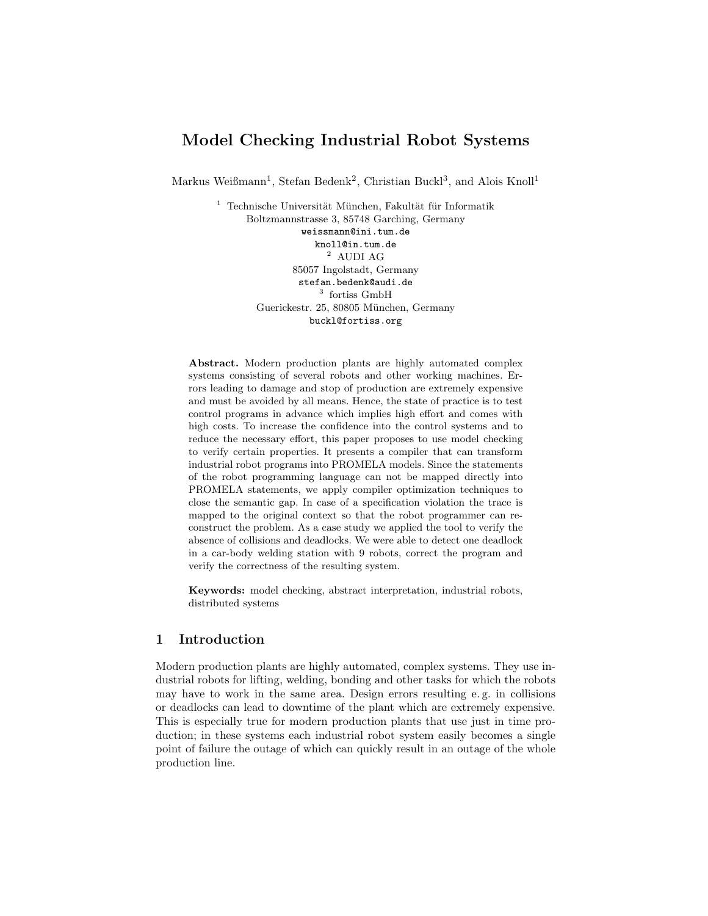# Model Checking Industrial Robot Systems

Markus Weißmann<sup>1</sup>, Stefan Bedenk<sup>2</sup>, Christian Buckl<sup>3</sup>, and Alois Knoll<sup>1</sup>

 $1$  Technische Universität München, Fakultät für Informatik Boltzmannstrasse 3, 85748 Garching, Germany weissmann@ini.tum.de knoll@in.tum.de <sup>2</sup> AUDI AG 85057 Ingolstadt, Germany stefan.bedenk@audi.de 3 fortiss GmbH Guerickestr. 25, 80805 München, Germany buckl@fortiss.org

Abstract. Modern production plants are highly automated complex systems consisting of several robots and other working machines. Errors leading to damage and stop of production are extremely expensive and must be avoided by all means. Hence, the state of practice is to test control programs in advance which implies high effort and comes with high costs. To increase the confidence into the control systems and to reduce the necessary effort, this paper proposes to use model checking to verify certain properties. It presents a compiler that can transform industrial robot programs into PROMELA models. Since the statements of the robot programming language can not be mapped directly into PROMELA statements, we apply compiler optimization techniques to close the semantic gap. In case of a specification violation the trace is mapped to the original context so that the robot programmer can reconstruct the problem. As a case study we applied the tool to verify the absence of collisions and deadlocks. We were able to detect one deadlock in a car-body welding station with 9 robots, correct the program and verify the correctness of the resulting system.

Keywords: model checking, abstract interpretation, industrial robots, distributed systems

# 1 Introduction

Modern production plants are highly automated, complex systems. They use industrial robots for lifting, welding, bonding and other tasks for which the robots may have to work in the same area. Design errors resulting e. g. in collisions or deadlocks can lead to downtime of the plant which are extremely expensive. This is especially true for modern production plants that use just in time production; in these systems each industrial robot system easily becomes a single point of failure the outage of which can quickly result in an outage of the whole production line.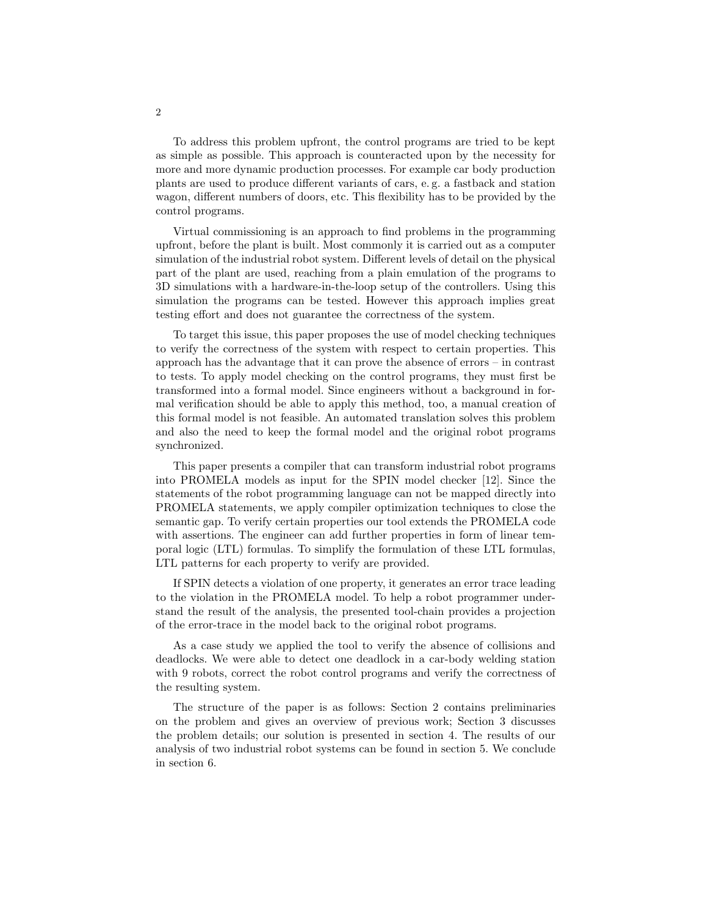To address this problem upfront, the control programs are tried to be kept as simple as possible. This approach is counteracted upon by the necessity for more and more dynamic production processes. For example car body production plants are used to produce different variants of cars, e. g. a fastback and station wagon, different numbers of doors, etc. This flexibility has to be provided by the control programs.

Virtual commissioning is an approach to find problems in the programming upfront, before the plant is built. Most commonly it is carried out as a computer simulation of the industrial robot system. Different levels of detail on the physical part of the plant are used, reaching from a plain emulation of the programs to 3D simulations with a hardware-in-the-loop setup of the controllers. Using this simulation the programs can be tested. However this approach implies great testing effort and does not guarantee the correctness of the system.

To target this issue, this paper proposes the use of model checking techniques to verify the correctness of the system with respect to certain properties. This approach has the advantage that it can prove the absence of errors – in contrast to tests. To apply model checking on the control programs, they must first be transformed into a formal model. Since engineers without a background in formal verification should be able to apply this method, too, a manual creation of this formal model is not feasible. An automated translation solves this problem and also the need to keep the formal model and the original robot programs synchronized.

This paper presents a compiler that can transform industrial robot programs into PROMELA models as input for the SPIN model checker [12]. Since the statements of the robot programming language can not be mapped directly into PROMELA statements, we apply compiler optimization techniques to close the semantic gap. To verify certain properties our tool extends the PROMELA code with assertions. The engineer can add further properties in form of linear temporal logic (LTL) formulas. To simplify the formulation of these LTL formulas, LTL patterns for each property to verify are provided.

If SPIN detects a violation of one property, it generates an error trace leading to the violation in the PROMELA model. To help a robot programmer understand the result of the analysis, the presented tool-chain provides a projection of the error-trace in the model back to the original robot programs.

As a case study we applied the tool to verify the absence of collisions and deadlocks. We were able to detect one deadlock in a car-body welding station with 9 robots, correct the robot control programs and verify the correctness of the resulting system.

The structure of the paper is as follows: Section 2 contains preliminaries on the problem and gives an overview of previous work; Section 3 discusses the problem details; our solution is presented in section 4. The results of our analysis of two industrial robot systems can be found in section 5. We conclude in section 6.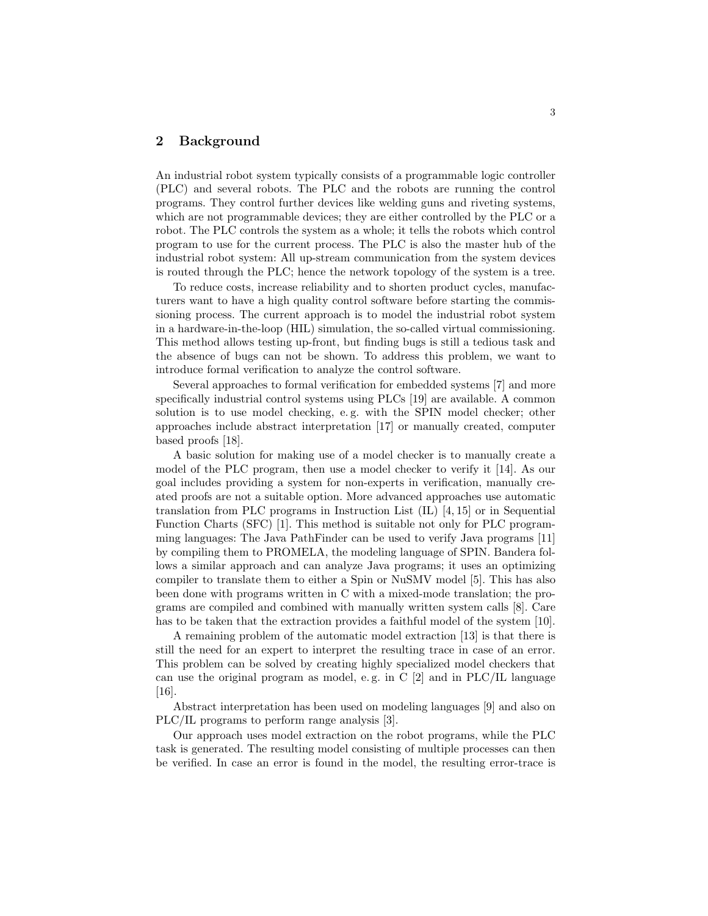### 2 Background

An industrial robot system typically consists of a programmable logic controller (PLC) and several robots. The PLC and the robots are running the control programs. They control further devices like welding guns and riveting systems, which are not programmable devices; they are either controlled by the PLC or a robot. The PLC controls the system as a whole; it tells the robots which control program to use for the current process. The PLC is also the master hub of the industrial robot system: All up-stream communication from the system devices is routed through the PLC; hence the network topology of the system is a tree.

To reduce costs, increase reliability and to shorten product cycles, manufacturers want to have a high quality control software before starting the commissioning process. The current approach is to model the industrial robot system in a hardware-in-the-loop (HIL) simulation, the so-called virtual commissioning. This method allows testing up-front, but finding bugs is still a tedious task and the absence of bugs can not be shown. To address this problem, we want to introduce formal verification to analyze the control software.

Several approaches to formal verification for embedded systems [7] and more specifically industrial control systems using PLCs [19] are available. A common solution is to use model checking, e. g. with the SPIN model checker; other approaches include abstract interpretation [17] or manually created, computer based proofs [18].

A basic solution for making use of a model checker is to manually create a model of the PLC program, then use a model checker to verify it [14]. As our goal includes providing a system for non-experts in verification, manually created proofs are not a suitable option. More advanced approaches use automatic translation from PLC programs in Instruction List (IL) [4, 15] or in Sequential Function Charts (SFC) [1]. This method is suitable not only for PLC programming languages: The Java PathFinder can be used to verify Java programs [11] by compiling them to PROMELA, the modeling language of SPIN. Bandera follows a similar approach and can analyze Java programs; it uses an optimizing compiler to translate them to either a Spin or NuSMV model [5]. This has also been done with programs written in C with a mixed-mode translation; the programs are compiled and combined with manually written system calls [8]. Care has to be taken that the extraction provides a faithful model of the system [10].

A remaining problem of the automatic model extraction [13] is that there is still the need for an expert to interpret the resulting trace in case of an error. This problem can be solved by creating highly specialized model checkers that can use the original program as model, e. g. in C [2] and in PLC/IL language [16].

Abstract interpretation has been used on modeling languages [9] and also on PLC/IL programs to perform range analysis [3].

Our approach uses model extraction on the robot programs, while the PLC task is generated. The resulting model consisting of multiple processes can then be verified. In case an error is found in the model, the resulting error-trace is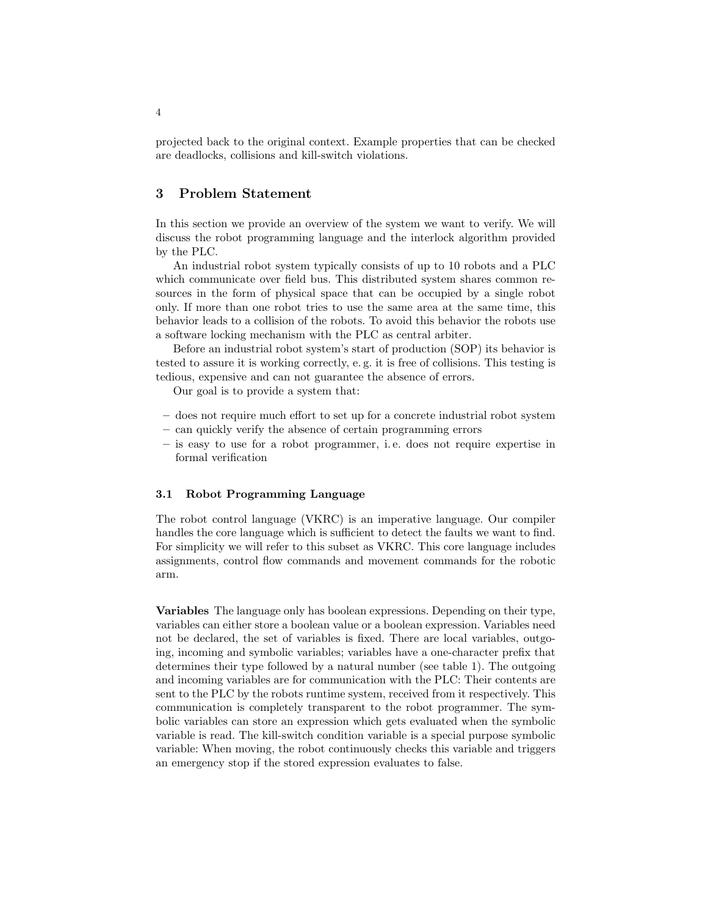projected back to the original context. Example properties that can be checked are deadlocks, collisions and kill-switch violations.

# 3 Problem Statement

In this section we provide an overview of the system we want to verify. We will discuss the robot programming language and the interlock algorithm provided by the PLC.

An industrial robot system typically consists of up to 10 robots and a PLC which communicate over field bus. This distributed system shares common resources in the form of physical space that can be occupied by a single robot only. If more than one robot tries to use the same area at the same time, this behavior leads to a collision of the robots. To avoid this behavior the robots use a software locking mechanism with the PLC as central arbiter.

Before an industrial robot system's start of production (SOP) its behavior is tested to assure it is working correctly, e. g. it is free of collisions. This testing is tedious, expensive and can not guarantee the absence of errors.

Our goal is to provide a system that:

- does not require much effort to set up for a concrete industrial robot system
- can quickly verify the absence of certain programming errors
- is easy to use for a robot programmer, i. e. does not require expertise in formal verification

### 3.1 Robot Programming Language

The robot control language (VKRC) is an imperative language. Our compiler handles the core language which is sufficient to detect the faults we want to find. For simplicity we will refer to this subset as VKRC. This core language includes assignments, control flow commands and movement commands for the robotic arm.

Variables The language only has boolean expressions. Depending on their type, variables can either store a boolean value or a boolean expression. Variables need not be declared, the set of variables is fixed. There are local variables, outgoing, incoming and symbolic variables; variables have a one-character prefix that determines their type followed by a natural number (see table 1). The outgoing and incoming variables are for communication with the PLC: Their contents are sent to the PLC by the robots runtime system, received from it respectively. This communication is completely transparent to the robot programmer. The symbolic variables can store an expression which gets evaluated when the symbolic variable is read. The kill-switch condition variable is a special purpose symbolic variable: When moving, the robot continuously checks this variable and triggers an emergency stop if the stored expression evaluates to false.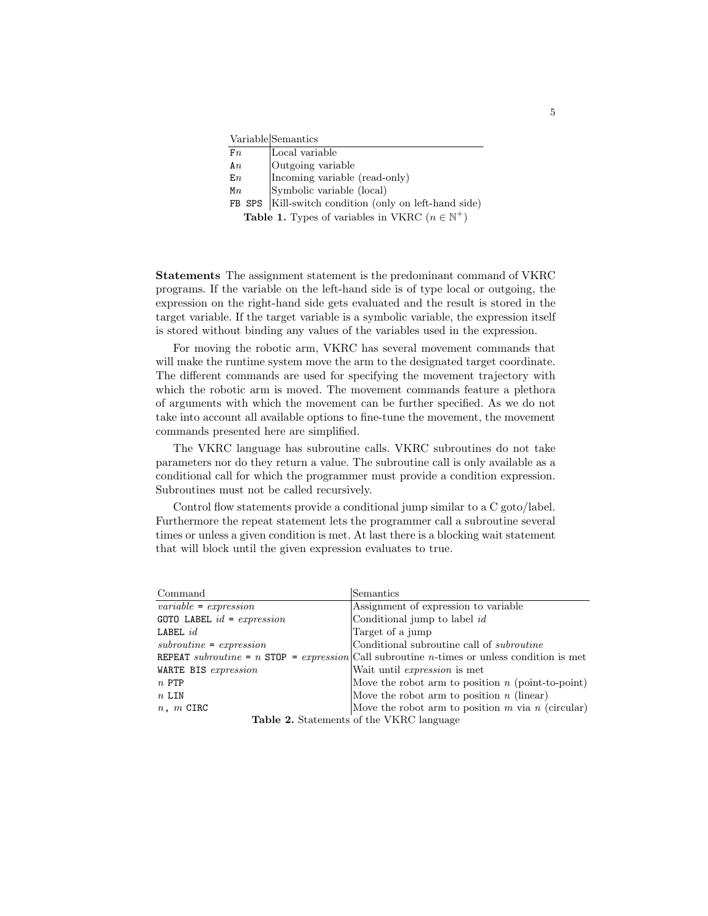|  | Variable Semantics |
|--|--------------------|
|--|--------------------|

| $F_n$                                                               | Local variable                                                                                                                                                                                                     |  |  |  |  |
|---------------------------------------------------------------------|--------------------------------------------------------------------------------------------------------------------------------------------------------------------------------------------------------------------|--|--|--|--|
| An                                                                  | Outgoing variable                                                                                                                                                                                                  |  |  |  |  |
| En                                                                  | Incoming variable (read-only)                                                                                                                                                                                      |  |  |  |  |
|                                                                     |                                                                                                                                                                                                                    |  |  |  |  |
|                                                                     | $\begin{tabular}{l c c c} \hline \texttt{M} \texttt{m} & \texttt{Symbolic variable (local)} \\ \hline \texttt{FB} \texttt{ SPS} & \texttt{Kill-switch condition (only on left-hand side)} \\ \hline \end{tabular}$ |  |  |  |  |
| <b>Table 1.</b> Types of variables in VKRC ( $n \in \mathbb{N}^+$ ) |                                                                                                                                                                                                                    |  |  |  |  |

Statements The assignment statement is the predominant command of VKRC programs. If the variable on the left-hand side is of type local or outgoing, the expression on the right-hand side gets evaluated and the result is stored in the target variable. If the target variable is a symbolic variable, the expression itself is stored without binding any values of the variables used in the expression.

For moving the robotic arm, VKRC has several movement commands that will make the runtime system move the arm to the designated target coordinate. The different commands are used for specifying the movement trajectory with which the robotic arm is moved. The movement commands feature a plethora of arguments with which the movement can be further specified. As we do not take into account all available options to fine-tune the movement, the movement commands presented here are simplified.

The VKRC language has subroutine calls. VKRC subroutines do not take parameters nor do they return a value. The subroutine call is only available as a conditional call for which the programmer must provide a condition expression. Subroutines must not be called recursively.

Control flow statements provide a conditional jump similar to a C goto/label. Furthermore the repeat statement lets the programmer call a subroutine several times or unless a given condition is met. At last there is a blocking wait statement that will block until the given expression evaluates to true.

| Command                                         | Semantics                                                                                    |  |  |  |  |
|-------------------------------------------------|----------------------------------------------------------------------------------------------|--|--|--|--|
| $variable = expression$                         | Assignment of expression to variable                                                         |  |  |  |  |
| GOTO LABEL $id = expression$                    | Conditional jump to label id                                                                 |  |  |  |  |
| LABEL $id$                                      | Target of a jump                                                                             |  |  |  |  |
| $subroutine = expression$                       | Conditional subroutine call of <i>subroutine</i>                                             |  |  |  |  |
|                                                 | REPEAT subroutine = $n$ STOP = expression Call subroutine n-times or unless condition is met |  |  |  |  |
| WARTE BIS expression                            | Wait until <i>expression</i> is met                                                          |  |  |  |  |
| $n$ PTP                                         | Move the robot arm to position $n$ (point-to-point)                                          |  |  |  |  |
| $n$ LIN                                         | Move the robot arm to position $n$ (linear)                                                  |  |  |  |  |
| $n, m$ CIRC                                     | Move the robot arm to position m via n (circular)                                            |  |  |  |  |
| <b>Table 2.</b> Statements of the VKRC language |                                                                                              |  |  |  |  |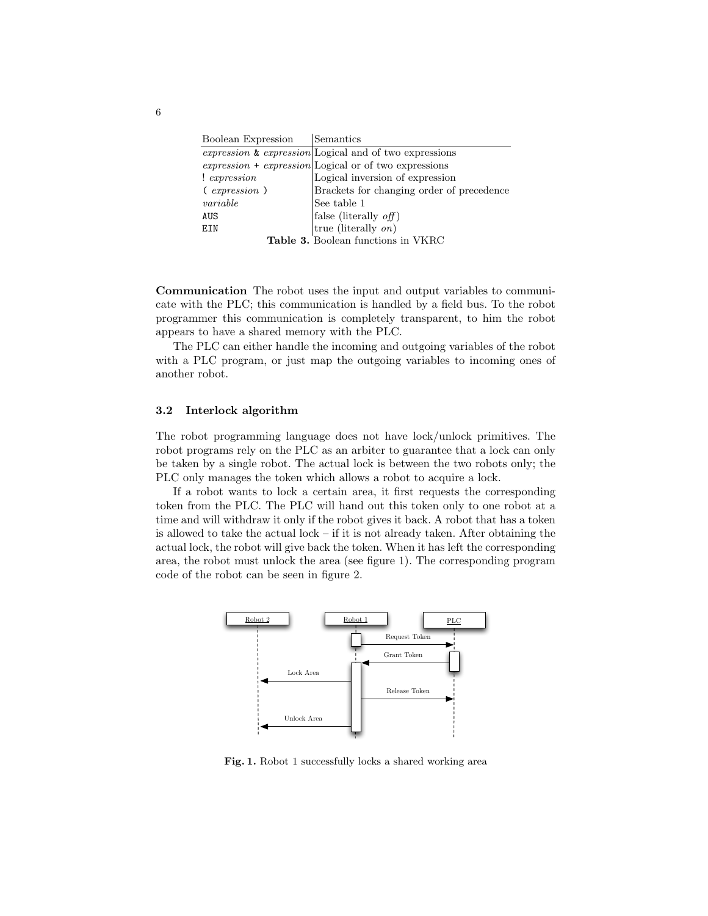| Boolean Expression                        | Semantics                                                   |  |  |
|-------------------------------------------|-------------------------------------------------------------|--|--|
|                                           | $expression \& expression$ [Logical and of two expressions] |  |  |
|                                           | $expression + expression$ [Logical or of two expressions]   |  |  |
| : expression                              | Logical inversion of expression                             |  |  |
| $\epsilon$ expression )                   | Brackets for changing order of precedence                   |  |  |
| variable                                  | See table 1                                                 |  |  |
| AUS                                       | false (literally off)                                       |  |  |
| EIN                                       | true (literally $\text{on}$ )                               |  |  |
| <b>Table 3.</b> Boolean functions in VKRC |                                                             |  |  |

Communication The robot uses the input and output variables to communicate with the PLC; this communication is handled by a field bus. To the robot programmer this communication is completely transparent, to him the robot appears to have a shared memory with the PLC.

The PLC can either handle the incoming and outgoing variables of the robot with a PLC program, or just map the outgoing variables to incoming ones of another robot.

#### 3.2 Interlock algorithm

The robot programming language does not have lock/unlock primitives. The robot programs rely on the PLC as an arbiter to guarantee that a lock can only be taken by a single robot. The actual lock is between the two robots only; the PLC only manages the token which allows a robot to acquire a lock.

If a robot wants to lock a certain area, it first requests the corresponding token from the PLC. The PLC will hand out this token only to one robot at a time and will withdraw it only if the robot gives it back. A robot that has a token is allowed to take the actual lock – if it is not already taken. After obtaining the actual lock, the robot will give back the token. When it has left the corresponding area, the robot must unlock the area (see figure 1). The corresponding program code of the robot can be seen in figure 2.



Fig. 1. Robot 1 successfully locks a shared working area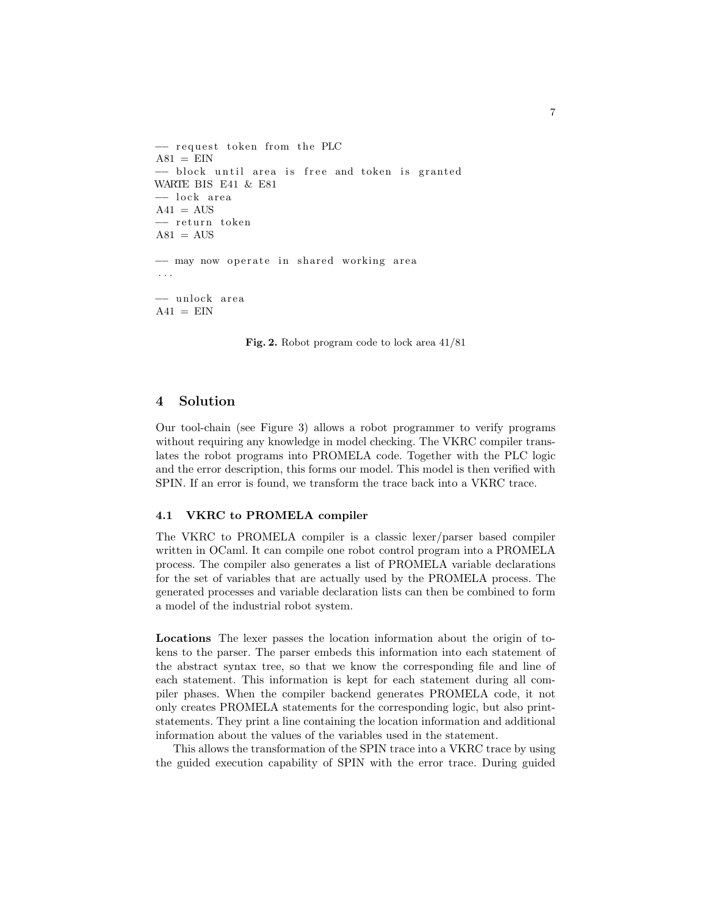```
−− r e q u e s t token from the PLC
A81 = EIN− block until area is free and token is granted
WARTE BIS E41 & E81
−− l o c k a r e a
A41 = AUS− return token
A81 = AUS-− may now operate in shared working area
. . .
−− unl ock a r e a
A41 = EIN
```
Fig. 2. Robot program code to lock area 41/81

# 4 Solution

Our tool-chain (see Figure 3) allows a robot programmer to verify programs without requiring any knowledge in model checking. The VKRC compiler translates the robot programs into PROMELA code. Together with the PLC logic and the error description, this forms our model. This model is then verified with SPIN. If an error is found, we transform the trace back into a VKRC trace.

#### 4.1 VKRC to PROMELA compiler

The VKRC to PROMELA compiler is a classic lexer/parser based compiler written in OCaml. It can compile one robot control program into a PROMELA process. The compiler also generates a list of PROMELA variable declarations for the set of variables that are actually used by the PROMELA process. The generated processes and variable declaration lists can then be combined to form a model of the industrial robot system.

Locations The lexer passes the location information about the origin of tokens to the parser. The parser embeds this information into each statement of the abstract syntax tree, so that we know the corresponding file and line of each statement. This information is kept for each statement during all compiler phases. When the compiler backend generates PROMELA code, it not only creates PROMELA statements for the corresponding logic, but also printstatements. They print a line containing the location information and additional information about the values of the variables used in the statement.

This allows the transformation of the SPIN trace into a VKRC trace by using the guided execution capability of SPIN with the error trace. During guided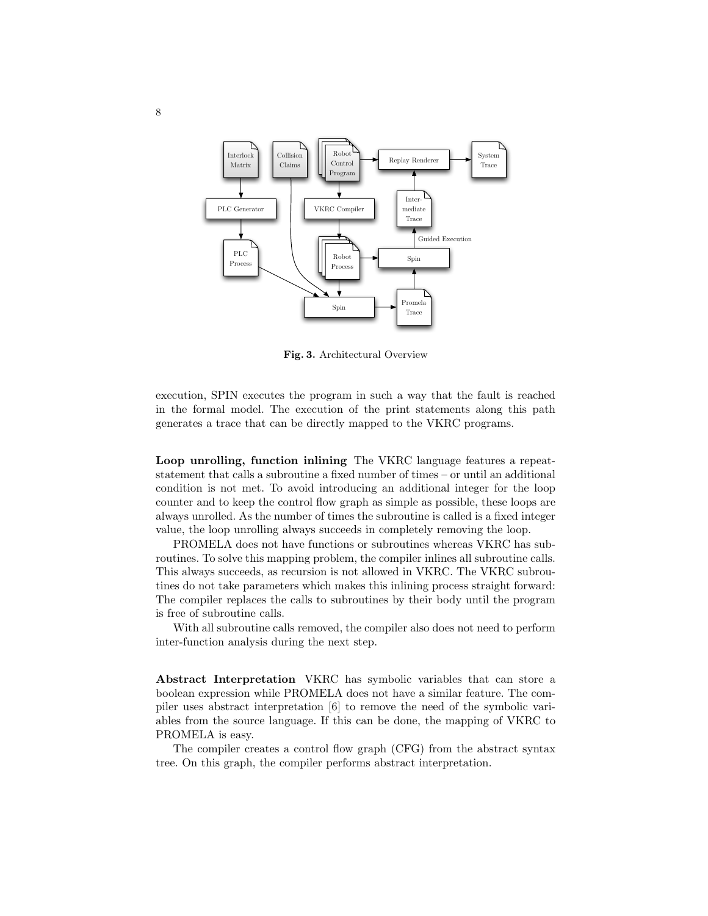

Fig. 3. Architectural Overview

execution, SPIN executes the program in such a way that the fault is reached in the formal model. The execution of the print statements along this path generates a trace that can be directly mapped to the VKRC programs.

Loop unrolling, function inlining The VKRC language features a repeatstatement that calls a subroutine a fixed number of times – or until an additional condition is not met. To avoid introducing an additional integer for the loop counter and to keep the control flow graph as simple as possible, these loops are always unrolled. As the number of times the subroutine is called is a fixed integer value, the loop unrolling always succeeds in completely removing the loop.

PROMELA does not have functions or subroutines whereas VKRC has subroutines. To solve this mapping problem, the compiler inlines all subroutine calls. This always succeeds, as recursion is not allowed in VKRC. The VKRC subroutines do not take parameters which makes this inlining process straight forward: The compiler replaces the calls to subroutines by their body until the program is free of subroutine calls.

With all subroutine calls removed, the compiler also does not need to perform inter-function analysis during the next step.

Abstract Interpretation VKRC has symbolic variables that can store a boolean expression while PROMELA does not have a similar feature. The compiler uses abstract interpretation [6] to remove the need of the symbolic variables from the source language. If this can be done, the mapping of VKRC to PROMELA is easy.

The compiler creates a control flow graph (CFG) from the abstract syntax tree. On this graph, the compiler performs abstract interpretation.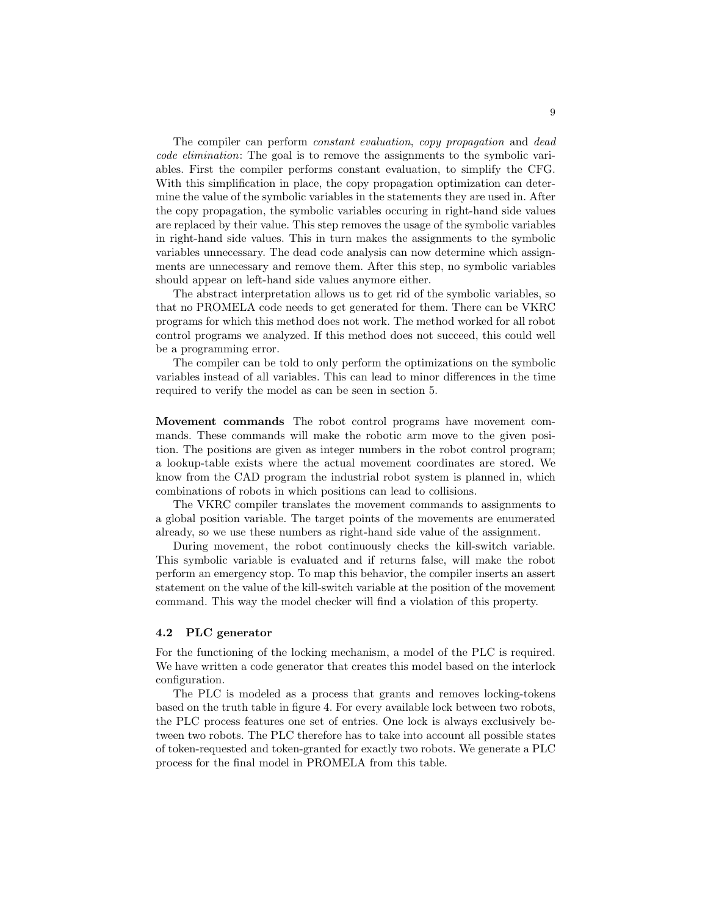The compiler can perform constant evaluation, copy propagation and dead code elimination: The goal is to remove the assignments to the symbolic variables. First the compiler performs constant evaluation, to simplify the CFG. With this simplification in place, the copy propagation optimization can determine the value of the symbolic variables in the statements they are used in. After the copy propagation, the symbolic variables occuring in right-hand side values are replaced by their value. This step removes the usage of the symbolic variables in right-hand side values. This in turn makes the assignments to the symbolic variables unnecessary. The dead code analysis can now determine which assignments are unnecessary and remove them. After this step, no symbolic variables should appear on left-hand side values anymore either.

The abstract interpretation allows us to get rid of the symbolic variables, so that no PROMELA code needs to get generated for them. There can be VKRC programs for which this method does not work. The method worked for all robot control programs we analyzed. If this method does not succeed, this could well be a programming error.

The compiler can be told to only perform the optimizations on the symbolic variables instead of all variables. This can lead to minor differences in the time required to verify the model as can be seen in section 5.

Movement commands The robot control programs have movement commands. These commands will make the robotic arm move to the given position. The positions are given as integer numbers in the robot control program; a lookup-table exists where the actual movement coordinates are stored. We know from the CAD program the industrial robot system is planned in, which combinations of robots in which positions can lead to collisions.

The VKRC compiler translates the movement commands to assignments to a global position variable. The target points of the movements are enumerated already, so we use these numbers as right-hand side value of the assignment.

During movement, the robot continuously checks the kill-switch variable. This symbolic variable is evaluated and if returns false, will make the robot perform an emergency stop. To map this behavior, the compiler inserts an assert statement on the value of the kill-switch variable at the position of the movement command. This way the model checker will find a violation of this property.

#### 4.2 PLC generator

For the functioning of the locking mechanism, a model of the PLC is required. We have written a code generator that creates this model based on the interlock configuration.

The PLC is modeled as a process that grants and removes locking-tokens based on the truth table in figure 4. For every available lock between two robots, the PLC process features one set of entries. One lock is always exclusively between two robots. The PLC therefore has to take into account all possible states of token-requested and token-granted for exactly two robots. We generate a PLC process for the final model in PROMELA from this table.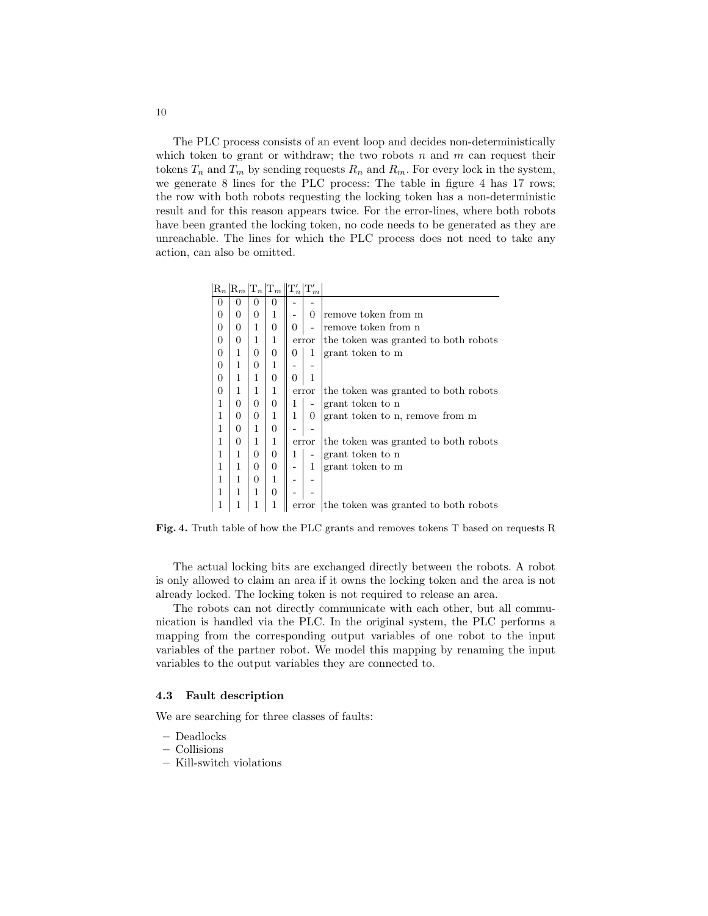The PLC process consists of an event loop and decides non-deterministically which token to grant or withdraw; the two robots  $n$  and  $m$  can request their tokens  $T_n$  and  $T_m$  by sending requests  $R_n$  and  $R_m$ . For every lock in the system, we generate 8 lines for the PLC process: The table in figure 4 has 17 rows; the row with both robots requesting the locking token has a non-deterministic result and for this reason appears twice. For the error-lines, where both robots have been granted the locking token, no code needs to be generated as they are unreachable. The lines for which the PLC process does not need to take any action, can also be omitted.

|   |          |   | $\left \mathbf{R}_n\right \mathbf{R}_m\left \mathbf{T}_n\right \mathbf{T}_m\left \mathbf{T}_n'\right \mathbf{T}_m'$ |        |       |                                      |
|---|----------|---|---------------------------------------------------------------------------------------------------------------------|--------|-------|--------------------------------------|
| 0 | 0        | 0 | 0                                                                                                                   |        |       |                                      |
| 0 | $\Omega$ | 0 | 1                                                                                                                   |        | 0     | remove token from m                  |
| 0 | 0        | 1 | 0                                                                                                                   | 0      |       | remove token from n                  |
| 0 | $\Omega$ | 1 | 1                                                                                                                   |        | error | the token was granted to both robots |
| 0 | 1        | 0 | 0                                                                                                                   | 1<br>0 |       | grant token to m                     |
| 0 | 1        | 0 | 1                                                                                                                   |        |       |                                      |
| 0 | 1        | 1 | $\Omega$                                                                                                            | 0      | 1     |                                      |
| 0 | 1        | 1 | 1                                                                                                                   |        | error | the token was granted to both robots |
| 1 | $\Omega$ | 0 | 0                                                                                                                   | 1      |       | grant token to n                     |
| 1 | 0        | 0 | 1                                                                                                                   | 1      | 0     | grant token to n, remove from m      |
| 1 | 0        | 1 | 0                                                                                                                   |        |       |                                      |
| 1 | $\Omega$ | 1 | 1                                                                                                                   |        | error | the token was granted to both robots |
| 1 | 1        | 0 | 0                                                                                                                   | 1      |       | grant token to n                     |
| 1 | 1        | 0 | 0                                                                                                                   |        | 1     | grant token to m                     |
| 1 | 1        | 0 | 1                                                                                                                   |        |       |                                      |
| 1 | 1        | 1 | $\Omega$                                                                                                            |        |       |                                      |
| 1 | 1        | 1 | 1                                                                                                                   |        | error | the token was granted to both robots |

Fig. 4. Truth table of how the PLC grants and removes tokens T based on requests R

The actual locking bits are exchanged directly between the robots. A robot is only allowed to claim an area if it owns the locking token and the area is not already locked. The locking token is not required to release an area.

The robots can not directly communicate with each other, but all communication is handled via the PLC. In the original system, the PLC performs a mapping from the corresponding output variables of one robot to the input variables of the partner robot. We model this mapping by renaming the input variables to the output variables they are connected to.

#### 4.3 Fault description

We are searching for three classes of faults:

- Deadlocks
- Collisions
- Kill-switch violations

10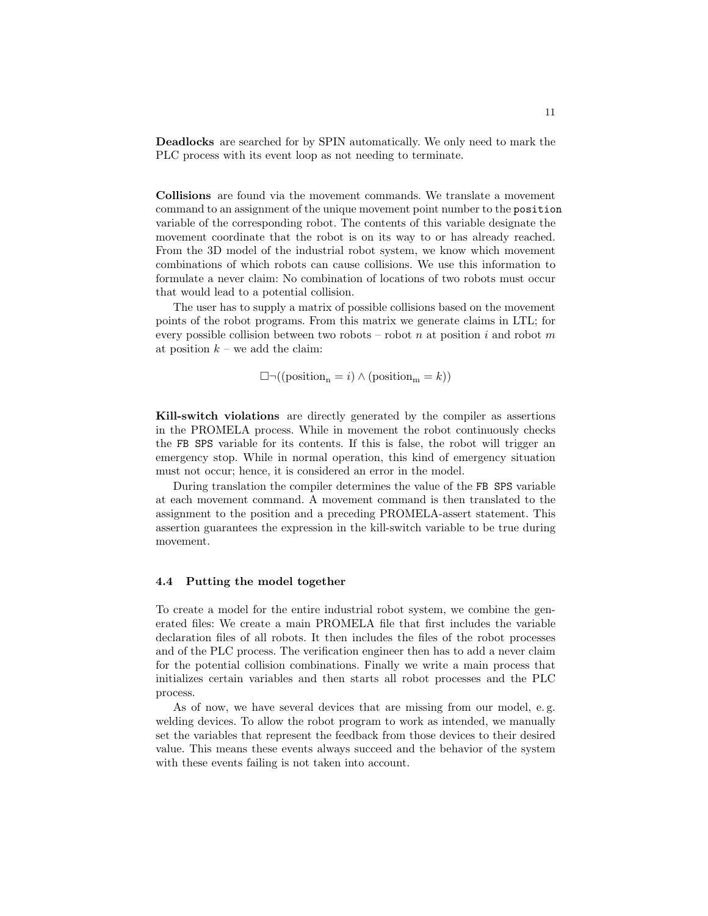Deadlocks are searched for by SPIN automatically. We only need to mark the PLC process with its event loop as not needing to terminate.

Collisions are found via the movement commands. We translate a movement command to an assignment of the unique movement point number to the position variable of the corresponding robot. The contents of this variable designate the movement coordinate that the robot is on its way to or has already reached. From the 3D model of the industrial robot system, we know which movement combinations of which robots can cause collisions. We use this information to formulate a never claim: No combination of locations of two robots must occur that would lead to a potential collision.

The user has to supply a matrix of possible collisions based on the movement points of the robot programs. From this matrix we generate claims in LTL; for every possible collision between two robots – robot n at position i and robot m at position  $k$  – we add the claim:

$$
\Box \neg ((\mathrm{position_{n}} = i) \wedge (\mathrm{position_{m}} = k))
$$

Kill-switch violations are directly generated by the compiler as assertions in the PROMELA process. While in movement the robot continuously checks the FB SPS variable for its contents. If this is false, the robot will trigger an emergency stop. While in normal operation, this kind of emergency situation must not occur; hence, it is considered an error in the model.

During translation the compiler determines the value of the FB SPS variable at each movement command. A movement command is then translated to the assignment to the position and a preceding PROMELA-assert statement. This assertion guarantees the expression in the kill-switch variable to be true during movement.

#### 4.4 Putting the model together

To create a model for the entire industrial robot system, we combine the generated files: We create a main PROMELA file that first includes the variable declaration files of all robots. It then includes the files of the robot processes and of the PLC process. The verification engineer then has to add a never claim for the potential collision combinations. Finally we write a main process that initializes certain variables and then starts all robot processes and the PLC process.

As of now, we have several devices that are missing from our model, e. g. welding devices. To allow the robot program to work as intended, we manually set the variables that represent the feedback from those devices to their desired value. This means these events always succeed and the behavior of the system with these events failing is not taken into account.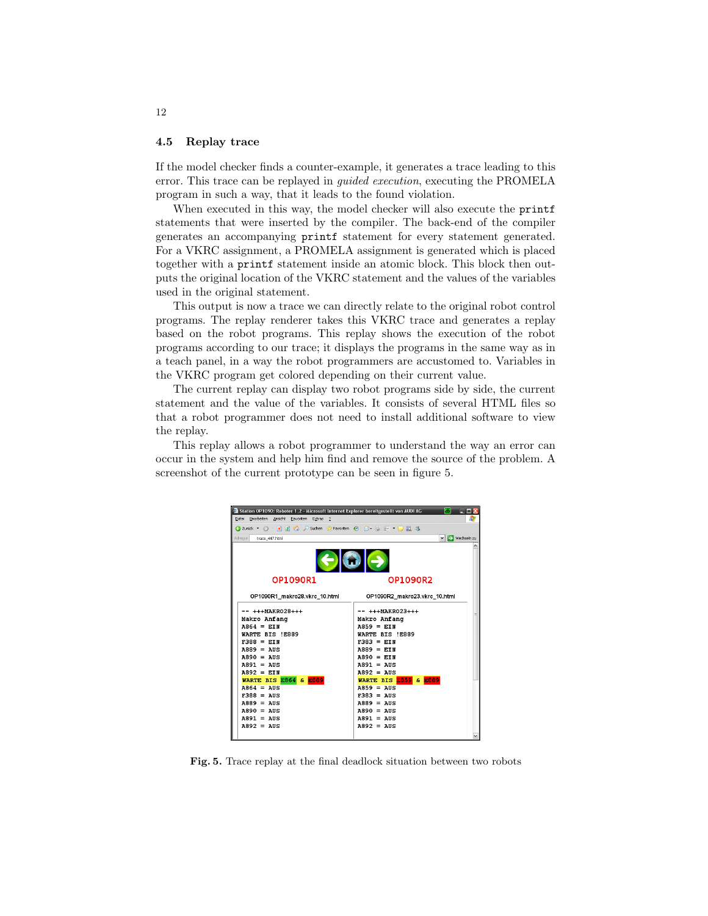#### 4.5 Replay trace

If the model checker finds a counter-example, it generates a trace leading to this error. This trace can be replayed in guided execution, executing the PROMELA program in such a way, that it leads to the found violation.

When executed in this way, the model checker will also execute the printf statements that were inserted by the compiler. The back-end of the compiler generates an accompanying printf statement for every statement generated. For a VKRC assignment, a PROMELA assignment is generated which is placed together with a printf statement inside an atomic block. This block then outputs the original location of the VKRC statement and the values of the variables used in the original statement.

This output is now a trace we can directly relate to the original robot control programs. The replay renderer takes this VKRC trace and generates a replay based on the robot programs. This replay shows the execution of the robot programs according to our trace; it displays the programs in the same way as in a teach panel, in a way the robot programmers are accustomed to. Variables in the VKRC program get colored depending on their current value.

The current replay can display two robot programs side by side, the current statement and the value of the variables. It consists of several HTML files so that a robot programmer does not need to install additional software to view the replay.

This replay allows a robot programmer to understand the way an error can occur in the system and help him find and remove the source of the problem. A screenshot of the current prototype can be seen in figure 5.



Fig. 5. Trace replay at the final deadlock situation between two robots

12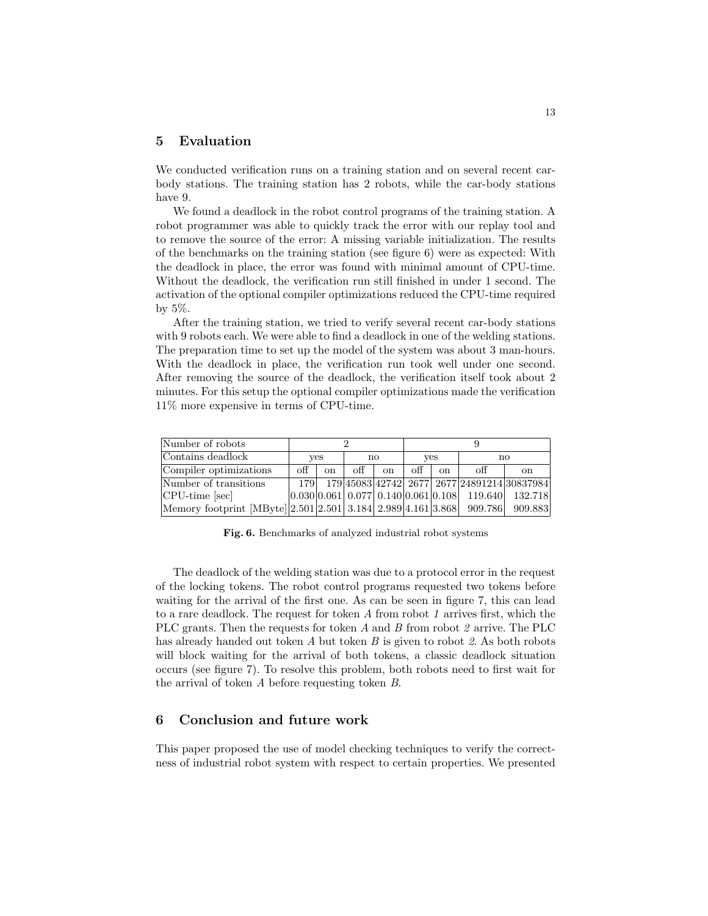### 5 Evaluation

We conducted verification runs on a training station and on several recent carbody stations. The training station has 2 robots, while the car-body stations have 9.

We found a deadlock in the robot control programs of the training station. A robot programmer was able to quickly track the error with our replay tool and to remove the source of the error: A missing variable initialization. The results of the benchmarks on the training station (see figure 6) were as expected: With the deadlock in place, the error was found with minimal amount of CPU-time. Without the deadlock, the verification run still finished in under 1 second. The activation of the optional compiler optimizations reduced the CPU-time required by 5%.

After the training station, we tried to verify several recent car-body stations with 9 robots each. We were able to find a deadlock in one of the welding stations. The preparation time to set up the model of the system was about 3 man-hours. With the deadlock in place, the verification run took well under one second. After removing the source of the deadlock, the verification itself took about 2 minutes. For this setup the optional compiler optimizations made the verification 11% more expensive in terms of CPU-time.

| Number of robots                                                                   |     |               |              |               |     |          |                                                             |               |
|------------------------------------------------------------------------------------|-----|---------------|--------------|---------------|-----|----------|-------------------------------------------------------------|---------------|
| Contains deadlock                                                                  | ves |               | $\mathbf{n}$ |               | ves |          | no                                                          |               |
| Compiler optimizations                                                             | off | <sub>on</sub> | $\alpha$ ff  | <sub>on</sub> | off | $\alpha$ | off                                                         | <sub>on</sub> |
| Number of transitions                                                              |     |               |              |               |     |          | 179 179 45083 42742 2677 2677 24891214 30837984             |               |
| $ $ CPU-time $ $ sec $ $                                                           |     |               |              |               |     |          | $[0.030] 0.061] 0.077] 0.140] 0.061] 0.108$ 119.640 132.718 |               |
| Memory footprint [MByte] 2.501 2.501  3.184  2.989  4.161  3.868  909.786  909.883 |     |               |              |               |     |          |                                                             |               |

Fig. 6. Benchmarks of analyzed industrial robot systems

The deadlock of the welding station was due to a protocol error in the request of the locking tokens. The robot control programs requested two tokens before waiting for the arrival of the first one. As can be seen in figure 7, this can lead to a rare deadlock. The request for token A from robot 1 arrives first, which the PLC grants. Then the requests for token A and B from robot 2 arrive. The PLC has already handed out token A but token B is given to robot 2. As both robots will block waiting for the arrival of both tokens, a classic deadlock situation occurs (see figure 7). To resolve this problem, both robots need to first wait for the arrival of token A before requesting token B.

# 6 Conclusion and future work

This paper proposed the use of model checking techniques to verify the correctness of industrial robot system with respect to certain properties. We presented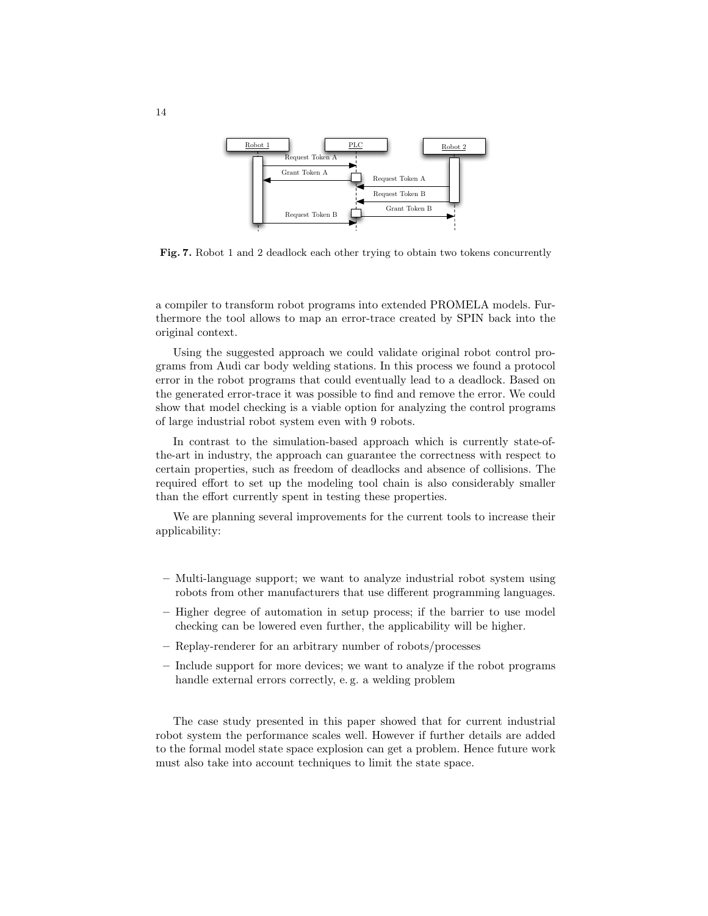

Fig. 7. Robot 1 and 2 deadlock each other trying to obtain two tokens concurrently

a compiler to transform robot programs into extended PROMELA models. Furthermore the tool allows to map an error-trace created by SPIN back into the original context.

Using the suggested approach we could validate original robot control programs from Audi car body welding stations. In this process we found a protocol error in the robot programs that could eventually lead to a deadlock. Based on the generated error-trace it was possible to find and remove the error. We could show that model checking is a viable option for analyzing the control programs of large industrial robot system even with 9 robots.

In contrast to the simulation-based approach which is currently state-ofthe-art in industry, the approach can guarantee the correctness with respect to certain properties, such as freedom of deadlocks and absence of collisions. The required effort to set up the modeling tool chain is also considerably smaller than the effort currently spent in testing these properties.

We are planning several improvements for the current tools to increase their applicability:

- Multi-language support; we want to analyze industrial robot system using robots from other manufacturers that use different programming languages.
- Higher degree of automation in setup process; if the barrier to use model checking can be lowered even further, the applicability will be higher.
- Replay-renderer for an arbitrary number of robots/processes
- Include support for more devices; we want to analyze if the robot programs handle external errors correctly, e. g. a welding problem

The case study presented in this paper showed that for current industrial robot system the performance scales well. However if further details are added to the formal model state space explosion can get a problem. Hence future work must also take into account techniques to limit the state space.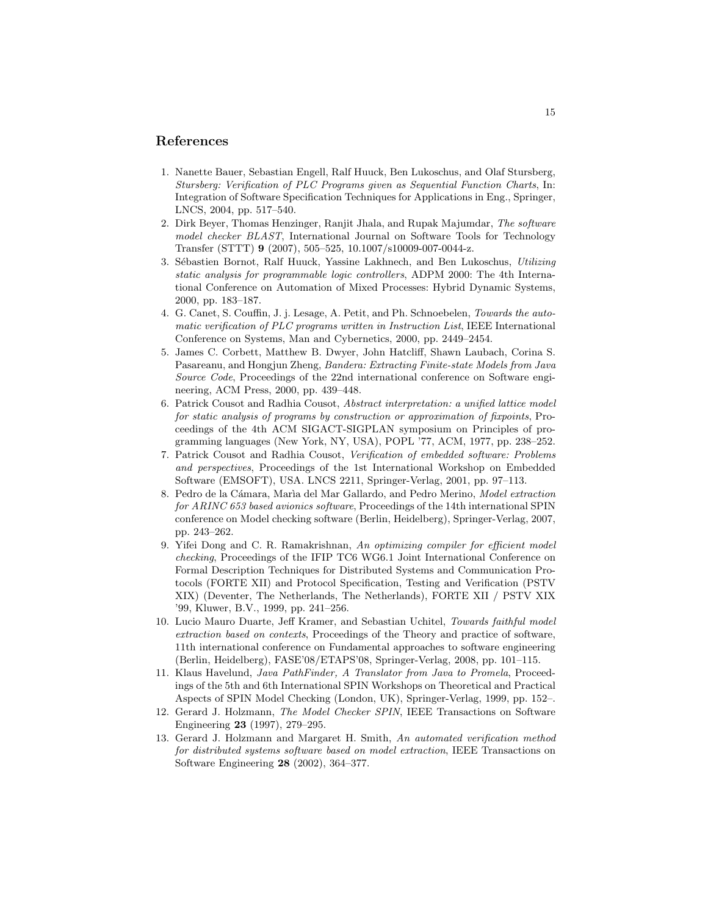### References

- 1. Nanette Bauer, Sebastian Engell, Ralf Huuck, Ben Lukoschus, and Olaf Stursberg, Stursberg: Verification of PLC Programs given as Sequential Function Charts, In: Integration of Software Specification Techniques for Applications in Eng., Springer, LNCS, 2004, pp. 517–540.
- 2. Dirk Beyer, Thomas Henzinger, Ranjit Jhala, and Rupak Majumdar, The software model checker BLAST, International Journal on Software Tools for Technology Transfer (STTT) 9 (2007), 505–525, 10.1007/s10009-007-0044-z.
- 3. Sébastien Bornot, Ralf Huuck, Yassine Lakhnech, and Ben Lukoschus, Utilizing static analysis for programmable logic controllers, ADPM 2000: The 4th International Conference on Automation of Mixed Processes: Hybrid Dynamic Systems, 2000, pp. 183–187.
- 4. G. Canet, S. Couffin, J. j. Lesage, A. Petit, and Ph. Schnoebelen, Towards the automatic verification of PLC programs written in Instruction List, IEEE International Conference on Systems, Man and Cybernetics, 2000, pp. 2449–2454.
- 5. James C. Corbett, Matthew B. Dwyer, John Hatcliff, Shawn Laubach, Corina S. Pasareanu, and Hongjun Zheng, Bandera: Extracting Finite-state Models from Java Source Code, Proceedings of the 22nd international conference on Software engineering, ACM Press, 2000, pp. 439–448.
- 6. Patrick Cousot and Radhia Cousot, Abstract interpretation: a unified lattice model for static analysis of programs by construction or approximation of fixpoints, Proceedings of the 4th ACM SIGACT-SIGPLAN symposium on Principles of programming languages (New York, NY, USA), POPL '77, ACM, 1977, pp. 238–252.
- 7. Patrick Cousot and Radhia Cousot, Verification of embedded software: Problems and perspectives, Proceedings of the 1st International Workshop on Embedded Software (EMSOFT), USA. LNCS 2211, Springer-Verlag, 2001, pp. 97–113.
- 8. Pedro de la Cámara, Marìa del Mar Gallardo, and Pedro Merino, *Model extraction* for ARINC 653 based avionics software, Proceedings of the 14th international SPIN conference on Model checking software (Berlin, Heidelberg), Springer-Verlag, 2007, pp. 243–262.
- 9. Yifei Dong and C. R. Ramakrishnan, An optimizing compiler for efficient model checking, Proceedings of the IFIP TC6 WG6.1 Joint International Conference on Formal Description Techniques for Distributed Systems and Communication Protocols (FORTE XII) and Protocol Specification, Testing and Verification (PSTV XIX) (Deventer, The Netherlands, The Netherlands), FORTE XII / PSTV XIX '99, Kluwer, B.V., 1999, pp. 241–256.
- 10. Lucio Mauro Duarte, Jeff Kramer, and Sebastian Uchitel, Towards faithful model extraction based on contexts, Proceedings of the Theory and practice of software, 11th international conference on Fundamental approaches to software engineering (Berlin, Heidelberg), FASE'08/ETAPS'08, Springer-Verlag, 2008, pp. 101–115.
- 11. Klaus Havelund, Java PathFinder, A Translator from Java to Promela, Proceedings of the 5th and 6th International SPIN Workshops on Theoretical and Practical Aspects of SPIN Model Checking (London, UK), Springer-Verlag, 1999, pp. 152–.
- 12. Gerard J. Holzmann, The Model Checker SPIN, IEEE Transactions on Software Engineering 23 (1997), 279–295.
- 13. Gerard J. Holzmann and Margaret H. Smith, An automated verification method for distributed systems software based on model extraction, IEEE Transactions on Software Engineering 28 (2002), 364–377.